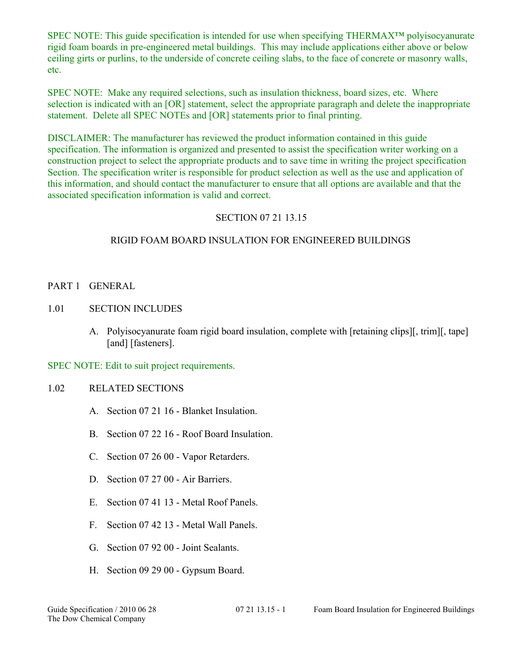SPEC NOTE: This guide specification is intended for use when specifying THERMAX™ polyisocyanurate rigid foam boards in pre-engineered metal buildings. This may include applications either above or below ceiling girts or purlins, to the underside of concrete ceiling slabs, to the face of concrete or masonry walls, etc.

SPEC NOTE: Make any required selections, such as insulation thickness, board sizes, etc. Where selection is indicated with an [OR] statement, select the appropriate paragraph and delete the inappropriate statement. Delete all SPEC NOTEs and [OR] statements prior to final printing.

DISCLAIMER: The manufacturer has reviewed the product information contained in this guide specification. The information is organized and presented to assist the specification writer working on a construction project to select the appropriate products and to save time in writing the project specification Section. The specification writer is responsible for product selection as well as the use and application of this information, and should contact the manufacturer to ensure that all options are available and that the associated specification information is valid and correct.

# SECTION 07 21 13.15

# RIGID FOAM BOARD INSULATION FOR ENGINEERED BUILDINGS

# PART 1 GENERAL

## 1.01 SECTION INCLUDES

A. Polyisocyanurate foam rigid board insulation, complete with [retaining clips][, trim][, tape] [and] [fasteners].

SPEC NOTE: Edit to suit project requirements.

### 1.02 RELATED SECTIONS

- A. Section 07 21 16 Blanket Insulation.
- B. Section 07 22 16 Roof Board Insulation.
- C. Section 07 26 00 Vapor Retarders.
- D. Section 07 27 00 Air Barriers.
- E. Section 07 41 13 Metal Roof Panels.
- F. Section 07 42 13 Metal Wall Panels.
- G. Section 07 92 00 Joint Sealants.
- H. Section 09 29 00 Gypsum Board.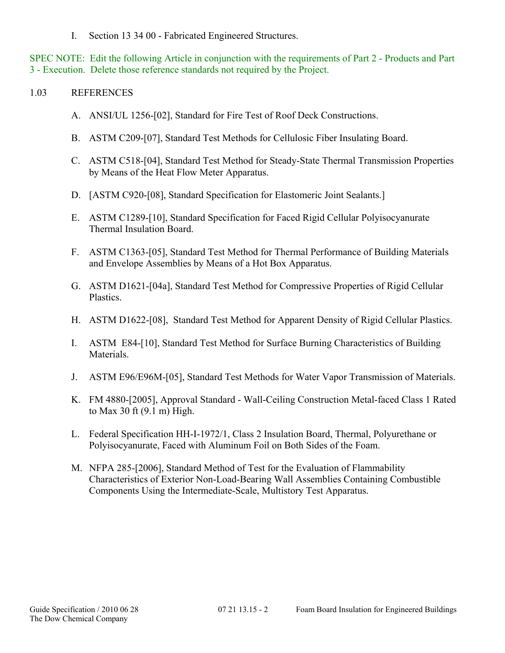I. Section 13 34 00 - Fabricated Engineered Structures.

SPEC NOTE: Edit the following Article in conjunction with the requirements of Part 2 - Products and Part 3 - Execution. Delete those reference standards not required by the Project.

# 1.03 REFERENCES

- A. ANSI/UL 1256-[02], Standard for Fire Test of Roof Deck Constructions.
- B. ASTM C209-[07], Standard Test Methods for Cellulosic Fiber Insulating Board.
- C. ASTM C518-[04], Standard Test Method for Steady-State Thermal Transmission Properties by Means of the Heat Flow Meter Apparatus.
- D. [ASTM C920-[08], Standard Specification for Elastomeric Joint Sealants.]
- E. ASTM C1289-[10], Standard Specification for Faced Rigid Cellular Polyisocyanurate Thermal Insulation Board.
- F. ASTM C1363-[05], Standard Test Method for Thermal Performance of Building Materials and Envelope Assemblies by Means of a Hot Box Apparatus.
- G. ASTM D1621-[04a], Standard Test Method for Compressive Properties of Rigid Cellular Plastics.
- H. ASTM D1622-[08], Standard Test Method for Apparent Density of Rigid Cellular Plastics.
- I. ASTM E84-[10], Standard Test Method for Surface Burning Characteristics of Building Materials.
- J. ASTM E96/E96M-[05], Standard Test Methods for Water Vapor Transmission of Materials.
- K. FM 4880-[2005], Approval Standard Wall-Ceiling Construction Metal-faced Class 1 Rated to Max 30 ft (9.1 m) High.
- L. Federal Specification HH-I-1972/1, Class 2 Insulation Board, Thermal, Polyurethane or Polyisocyanurate, Faced with Aluminum Foil on Both Sides of the Foam.
- M. NFPA 285-[2006], Standard Method of Test for the Evaluation of Flammability Characteristics of Exterior Non-Load-Bearing Wall Assemblies Containing Combustible Components Using the Intermediate-Scale, Multistory Test Apparatus.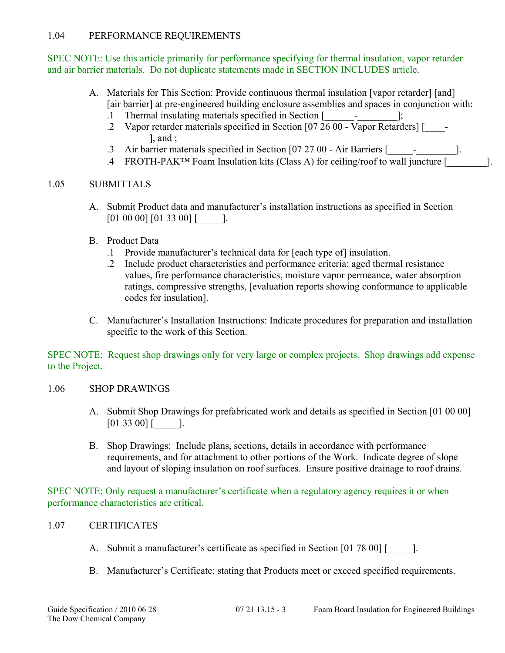# 1.04 PERFORMANCE REQUIREMENTS

SPEC NOTE: Use this article primarily for performance specifying for thermal insulation, vapor retarder and air barrier materials. Do not duplicate statements made in SECTION INCLUDES article.

- A. Materials for This Section: Provide continuous thermal insulation [vapor retarder] [and] [air barrier] at pre-engineered building enclosure assemblies and spaces in conjunction with:
	- .1 Thermal insulating materials specified in Section [\_\_\_\_\_\_-\_\_\_\_\_\_\_\_];
	- .2 Vapor retarder materials specified in Section  $[07 26 00 Vapor Retarders]$ ], and  $\vdots$
	- .3 Air barrier materials specified in Section [07 27 00 - Air Barriers [\_\_\_\_\_\_\_\_\_\_\_\_\_\_].
	- .4 FROTH-PAK™ Foam Insulation kits (Class A) for ceiling/roof to wall juncture [\_\_\_\_\_\_\_\_].

## 1.05 SUBMITTALS

A. Submit Product data and manufacturer's installation instructions as specified in Section  $[01\ 00\ 00]$   $[01\ 33\ 00]$   $[$  ].

# B. Product Data

- .1 Provide manufacturer's technical data for [each type of] insulation.
- .2 Include product characteristics and performance criteria: aged thermal resistance values, fire performance characteristics, moisture vapor permeance, water absorption ratings, compressive strengths, [evaluation reports showing conformance to applicable codes for insulation].
- C. Manufacturer's Installation Instructions: Indicate procedures for preparation and installation specific to the work of this Section.

SPEC NOTE: Request shop drawings only for very large or complex projects. Shop drawings add expense to the Project.

### 1.06 SHOP DRAWINGS

- A. Submit Shop Drawings for prefabricated work and details as specified in Section [01 00 00]  $[01 33 00]$  [ ].
- B. Shop Drawings: Include plans, sections, details in accordance with performance requirements, and for attachment to other portions of the Work. Indicate degree of slope and layout of sloping insulation on roof surfaces. Ensure positive drainage to roof drains.

SPEC NOTE: Only request a manufacturer's certificate when a regulatory agency requires it or when performance characteristics are critical.

# 1.07 CERTIFICATES

- A. Submit a manufacturer's certificate as specified in Section [01 78 00] [\_\_\_\_\_].
- B. Manufacturer's Certificate: stating that Products meet or exceed specified requirements.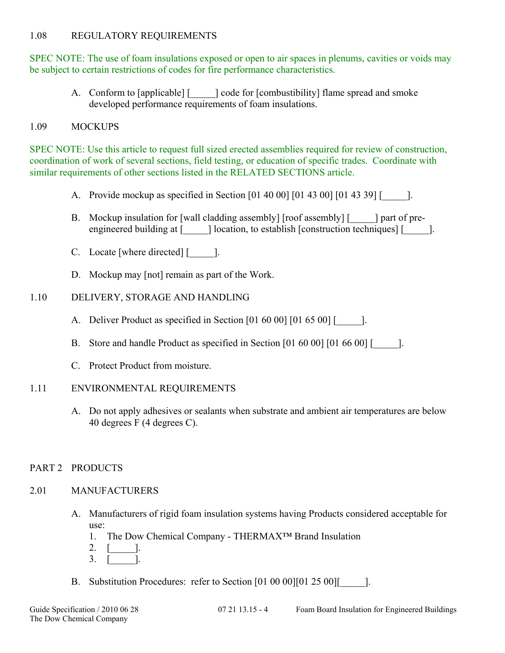## 1.08 REGULATORY REQUIREMENTS

SPEC NOTE: The use of foam insulations exposed or open to air spaces in plenums, cavities or voids may be subject to certain restrictions of codes for fire performance characteristics.

A. Conform to [applicable] [\_\_\_\_\_] code for [combustibility] flame spread and smoke developed performance requirements of foam insulations.

## 1.09 MOCKUPS

SPEC NOTE: Use this article to request full sized erected assemblies required for review of construction, coordination of work of several sections, field testing, or education of specific trades. Coordinate with similar requirements of other sections listed in the RELATED SECTIONS article.

- A. Provide mockup as specified in Section [01 40 00] [01 43 00] [01 43 39] [\_\_\_\_\_].
- B. Mockup insulation for [wall cladding assembly] [roof assembly] [ \_\_\_\_\_] part of preengineered building at [\_\_\_\_\_\_] location, to establish [construction techniques] [\_\_\_\_\_\_].
- C. Locate [where directed] [\_\_\_\_\_\_].
- D. Mockup may [not] remain as part of the Work.

# 1.10 DELIVERY, STORAGE AND HANDLING

- A. Deliver Product as specified in Section  $[01 60 00] [01 65 00]$   $[$
- B. Store and handle Product as specified in Section [01 60 00] [01 66 00] [20].
- C. Protect Product from moisture.

# 1.11 ENVIRONMENTAL REQUIREMENTS

A. Do not apply adhesives or sealants when substrate and ambient air temperatures are below 40 degrees F (4 degrees C).

# PART 2 PRODUCTS

# 2.01 MANUFACTURERS

- A. Manufacturers of rigid foam insulation systems having Products considered acceptable for use:
	- 1. The Dow Chemical Company THERMAX™ Brand Insulation
	- 2.  $\lceil \cdot \cdot \rceil$ .  $3. \quad 1.$
- B. Substitution Procedures: refer to Section [01 00 00][01 25 00][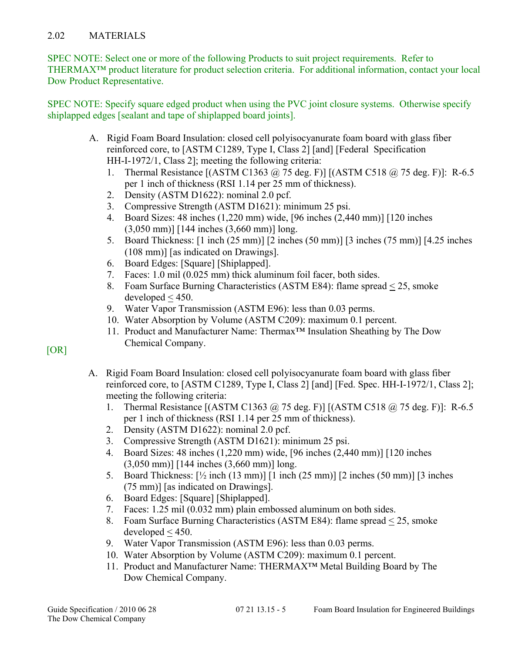# 2.02 MATERIALS

SPEC NOTE: Select one or more of the following Products to suit project requirements. Refer to THERMAX™ product literature for product selection criteria. For additional information, contact your local Dow Product Representative.

SPEC NOTE: Specify square edged product when using the PVC joint closure systems. Otherwise specify shiplapped edges [sealant and tape of shiplapped board joints].

- A. Rigid Foam Board Insulation: closed cell polyisocyanurate foam board with glass fiber reinforced core, to [ASTM C1289, Type I, Class 2] [and] [Federal Specification HH-I-1972/1, Class 2]; meeting the following criteria:
	- 1. Thermal Resistance [(ASTM C1363 @ 75 deg. F)] [(ASTM C518 @ 75 deg. F)]: R-6.5 per 1 inch of thickness (RSI 1.14 per 25 mm of thickness).
	- 2. Density (ASTM D1622): nominal 2.0 pcf.
	- 3. Compressive Strength (ASTM D1621): minimum 25 psi.
	- 4. Board Sizes: 48 inches (1,220 mm) wide, [96 inches (2,440 mm)] [120 inches (3,050 mm)] [144 inches (3,660 mm)] long.
	- 5. Board Thickness: [1 inch (25 mm)] [2 inches (50 mm)] [3 inches (75 mm)] [4.25 inches (108 mm)] [as indicated on Drawings].
	- 6. Board Edges: [Square] [Shiplapped].
	- 7. Faces: 1.0 mil (0.025 mm) thick aluminum foil facer, both sides.
	- 8. Foam Surface Burning Characteristics (ASTM E84): flame spread < 25, smoke  $\text{developed} < 450$ .
	- 9. Water Vapor Transmission (ASTM E96): less than 0.03 perms.
	- 10. Water Absorption by Volume (ASTM C209): maximum 0.1 percent.
- 11. Product and Manufacturer Name: Thermax™ Insulation Sheathing by The Dow Chemical Company. [OR]

- A. Rigid Foam Board Insulation: closed cell polyisocyanurate foam board with glass fiber reinforced core, to [ASTM C1289, Type I, Class 2] [and] [Fed. Spec. HH-I-1972/1, Class 2]; meeting the following criteria:
	- 1. Thermal Resistance [(ASTM C1363 @ 75 deg. F)] [(ASTM C518 @ 75 deg. F)]: R-6.5 per 1 inch of thickness (RSI 1.14 per 25 mm of thickness).
	- 2. Density (ASTM D1622): nominal 2.0 pcf.
	- 3. Compressive Strength (ASTM D1621): minimum 25 psi.
	- 4. Board Sizes: 48 inches (1,220 mm) wide, [96 inches (2,440 mm)] [120 inches (3,050 mm)] [144 inches (3,660 mm)] long.
	- 5. Board Thickness:  $[\frac{1}{2} \text{ inch } (13 \text{ mm})]$  [1 inch (25 mm)] [2 inches (50 mm)] [3 inches (75 mm)] [as indicated on Drawings].
	- 6. Board Edges: [Square] [Shiplapped].
	- 7. Faces: 1.25 mil (0.032 mm) plain embossed aluminum on both sides.
	- 8. Foam Surface Burning Characteristics (ASTM E84): flame spread < 25, smoke  $developed < 450.$
	- 9. Water Vapor Transmission (ASTM E96): less than 0.03 perms.
	- 10. Water Absorption by Volume (ASTM C209): maximum 0.1 percent.
	- 11. Product and Manufacturer Name: THERMAX™ Metal Building Board by The Dow Chemical Company.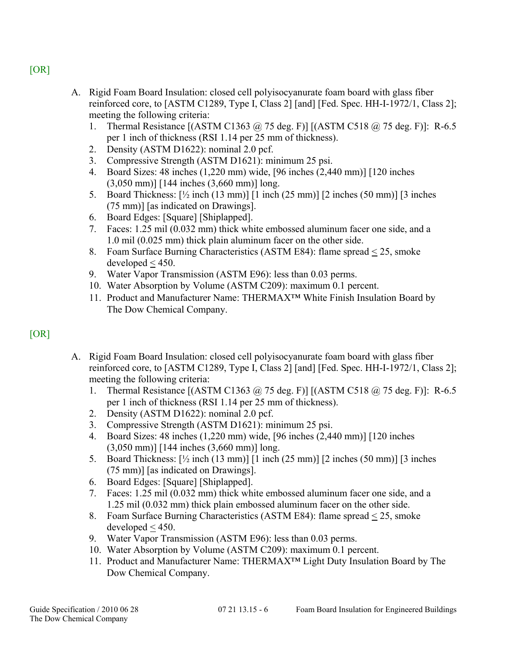# $[OR]$

- A. Rigid Foam Board Insulation: closed cell polyisocyanurate foam board with glass fiber reinforced core, to [ASTM C1289, Type I, Class 2] [and] [Fed. Spec. HH-I-1972/1, Class 2]; meeting the following criteria:
	- 1. Thermal Resistance [(ASTM C1363 @ 75 deg. F)] [(ASTM C518 @ 75 deg. F)]: R-6.5 per 1 inch of thickness (RSI 1.14 per 25 mm of thickness).
	- 2. Density (ASTM D1622): nominal 2.0 pcf.
	- 3. Compressive Strength (ASTM D1621): minimum 25 psi.
	- 4. Board Sizes: 48 inches (1,220 mm) wide, [96 inches (2,440 mm)] [120 inches (3,050 mm)] [144 inches (3,660 mm)] long.
	- 5. Board Thickness:  $[\frac{1}{2} \text{ inch } (13 \text{ mm})]$  [1 inch  $(25 \text{ mm})$ ] [2 inches  $(50 \text{ mm})$ ] [3 inches (75 mm)] [as indicated on Drawings].
	- 6. Board Edges: [Square] [Shiplapped].
	- 7. Faces: 1.25 mil (0.032 mm) thick white embossed aluminum facer one side, and a 1.0 mil (0.025 mm) thick plain aluminum facer on the other side.
	- 8. Foam Surface Burning Characteristics (ASTM E84): flame spread < 25, smoke developed < 450.
	- 9. Water Vapor Transmission (ASTM E96): less than 0.03 perms.
	- 10. Water Absorption by Volume (ASTM C209): maximum 0.1 percent.
	- 11. Product and Manufacturer Name: THERMAX™ White Finish Insulation Board by The Dow Chemical Company.

# $[OR]$

- A. Rigid Foam Board Insulation: closed cell polyisocyanurate foam board with glass fiber reinforced core, to [ASTM C1289, Type I, Class 2] [and] [Fed. Spec. HH-I-1972/1, Class 2]; meeting the following criteria:
	- 1. Thermal Resistance [(ASTM C1363 @ 75 deg. F)] [(ASTM C518 @ 75 deg. F)]: R-6.5 per 1 inch of thickness (RSI 1.14 per 25 mm of thickness).
	- 2. Density (ASTM D1622): nominal 2.0 pcf.
	- 3. Compressive Strength (ASTM D1621): minimum 25 psi.
	- 4. Board Sizes: 48 inches (1,220 mm) wide, [96 inches (2,440 mm)] [120 inches (3,050 mm)] [144 inches (3,660 mm)] long.
	- 5. Board Thickness:  $[\frac{1}{2}$  inch  $(13 \text{ mm})]$  [1 inch  $(25 \text{ mm})$ ] [2 inches  $(50 \text{ mm})$ ] [3 inches (75 mm)] [as indicated on Drawings].
	- 6. Board Edges: [Square] [Shiplapped].
	- 7. Faces: 1.25 mil (0.032 mm) thick white embossed aluminum facer one side, and a 1.25 mil (0.032 mm) thick plain embossed aluminum facer on the other side.
	- 8. Foam Surface Burning Characteristics (ASTM E84): flame spread < 25, smoke  $developed < 450.$
	- 9. Water Vapor Transmission (ASTM E96): less than 0.03 perms.
	- 10. Water Absorption by Volume (ASTM C209): maximum 0.1 percent.
	- 11. Product and Manufacturer Name: THERMAX™ Light Duty Insulation Board by The Dow Chemical Company.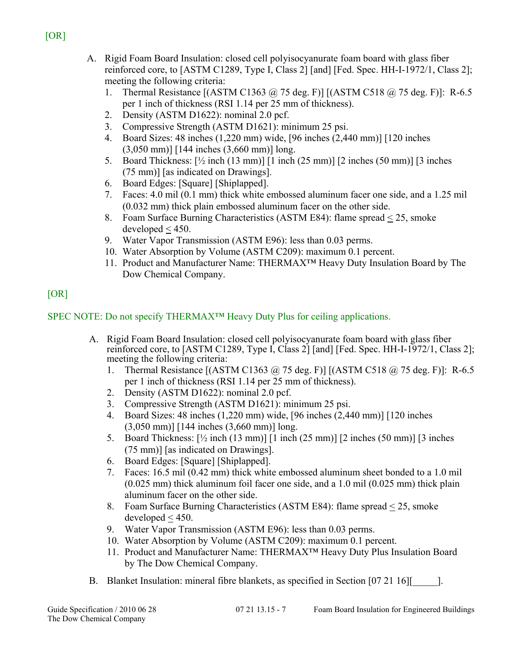# [OR]

- A. Rigid Foam Board Insulation: closed cell polyisocyanurate foam board with glass fiber reinforced core, to [ASTM C1289, Type I, Class 2] [and] [Fed. Spec. HH-I-1972/1, Class 2]; meeting the following criteria:
	- 1. Thermal Resistance [(ASTM C1363 @ 75 deg. F)] [(ASTM C518 @ 75 deg. F)]: R-6.5 per 1 inch of thickness (RSI 1.14 per 25 mm of thickness).
	- 2. Density (ASTM D1622): nominal 2.0 pcf.
	- 3. Compressive Strength (ASTM D1621): minimum 25 psi.
	- 4. Board Sizes: 48 inches (1,220 mm) wide, [96 inches (2,440 mm)] [120 inches (3,050 mm)] [144 inches (3,660 mm)] long.
	- 5. Board Thickness: [½ inch (13 mm)] [1 inch (25 mm)] [2 inches (50 mm)] [3 inches (75 mm)] [as indicated on Drawings].
	- 6. Board Edges: [Square] [Shiplapped].
	- 7. Faces: 4.0 mil (0.1 mm) thick white embossed aluminum facer one side, and a 1.25 mil (0.032 mm) thick plain embossed aluminum facer on the other side.
	- 8. Foam Surface Burning Characteristics (ASTM E84): flame spread  $\leq$  25, smoke  $developed < 450.$
	- 9. Water Vapor Transmission (ASTM E96): less than 0.03 perms.
	- 10. Water Absorption by Volume (ASTM C209): maximum 0.1 percent.
	- 11. Product and Manufacturer Name: THERMAX™ Heavy Duty Insulation Board by The Dow Chemical Company.

# [OR]

# SPEC NOTE: Do not specify THERMAX<sup>™</sup> Heavy Duty Plus for ceiling applications.

- A. Rigid Foam Board Insulation: closed cell polyisocyanurate foam board with glass fiber reinforced core, to [ASTM C1289, Type I, Class 2] [and] [Fed. Spec. HH-I-1972/1, Class 2]; meeting the following criteria:
	- 1. Thermal Resistance [(ASTM C1363 @ 75 deg. F)] [(ASTM C518 @ 75 deg. F)]: R-6.5 per 1 inch of thickness (RSI 1.14 per 25 mm of thickness).
	- 2. Density (ASTM D1622): nominal 2.0 pcf.
	- 3. Compressive Strength (ASTM D1621): minimum 25 psi.
	- 4. Board Sizes: 48 inches (1,220 mm) wide, [96 inches (2,440 mm)] [120 inches (3,050 mm)] [144 inches (3,660 mm)] long.
	- 5. Board Thickness:  $[\frac{1}{2} \text{ inch } (13 \text{ mm})]$  [1 inch  $(25 \text{ mm})$ ] [2 inches  $(50 \text{ mm})$ ] [3 inches (75 mm)] [as indicated on Drawings].
	- 6. Board Edges: [Square] [Shiplapped].
	- 7. Faces: 16.5 mil (0.42 mm) thick white embossed aluminum sheet bonded to a 1.0 mil (0.025 mm) thick aluminum foil facer one side, and a 1.0 mil (0.025 mm) thick plain aluminum facer on the other side.
	- 8. Foam Surface Burning Characteristics (ASTM E84): flame spread < 25, smoke  $developed < 450$ .
	- 9. Water Vapor Transmission (ASTM E96): less than 0.03 perms.
	- 10. Water Absorption by Volume (ASTM C209): maximum 0.1 percent.
	- 11. Product and Manufacturer Name: THERMAX™ Heavy Duty Plus Insulation Board by The Dow Chemical Company.
- B. Blanket Insulation: mineral fibre blankets, as specified in Section [07 21 16]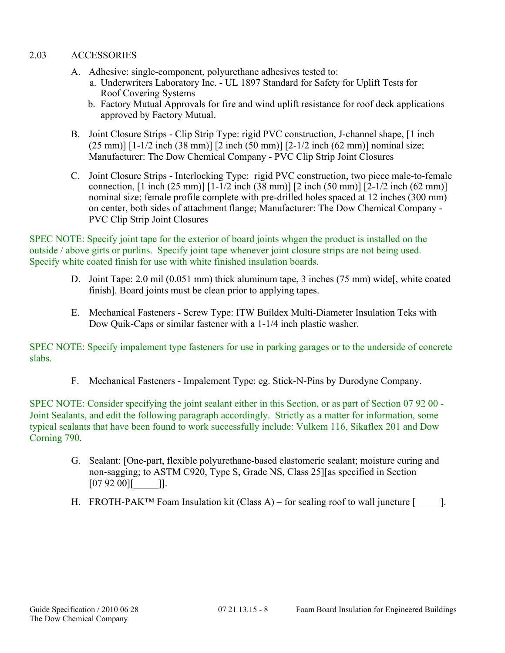## 2.03 ACCESSORIES

- A. Adhesive: single-component, polyurethane adhesives tested to:
	- a. Underwriters Laboratory Inc. UL 1897 Standard for Safety for Uplift Tests for Roof Covering Systems
	- b. Factory Mutual Approvals for fire and wind uplift resistance for roof deck applications approved by Factory Mutual.
- B. Joint Closure Strips Clip Strip Type: rigid PVC construction, J-channel shape, [1 inch  $(25 \text{ mm})$ ] [1-1/2 inch  $(38 \text{ mm})$ ] [2 inch  $(50 \text{ mm})$ ] [2-1/2 inch  $(62 \text{ mm})$ ] nominal size; Manufacturer: The Dow Chemical Company - PVC Clip Strip Joint Closures
- C. Joint Closure Strips Interlocking Type: rigid PVC construction, two piece male-to-female connection,  $[1 \text{ inch } (25 \text{ mm})] [1-\frac{1}{2} \text{ inch } (38 \text{ mm})] [2 \text{ inch } (50 \text{ mm})] [\frac{2-1}{2} \text{ inch } (62 \text{ mm})]$ nominal size; female profile complete with pre-drilled holes spaced at 12 inches (300 mm) on center, both sides of attachment flange; Manufacturer: The Dow Chemical Company - PVC Clip Strip Joint Closures

SPEC NOTE: Specify joint tape for the exterior of board joints whgen the product is installed on the outside / above girts or purlins. Specify joint tape whenever joint closure strips are not being used. Specify white coated finish for use with white finished insulation boards.

- D. Joint Tape: 2.0 mil (0.051 mm) thick aluminum tape, 3 inches (75 mm) wide[, white coated finish]. Board joints must be clean prior to applying tapes.
- E. Mechanical Fasteners Screw Type: ITW Buildex Multi-Diameter Insulation Teks with Dow Quik-Caps or similar fastener with a 1-1/4 inch plastic washer.

SPEC NOTE: Specify impalement type fasteners for use in parking garages or to the underside of concrete slabs.

F. Mechanical Fasteners - Impalement Type: eg. Stick-N-Pins by Durodyne Company.

SPEC NOTE: Consider specifying the joint sealant either in this Section, or as part of Section 07 92 00 - Joint Sealants, and edit the following paragraph accordingly. Strictly as a matter for information, some typical sealants that have been found to work successfully include: Vulkem 116, Sikaflex 201 and Dow Corning 790.

- G. Sealant: [One-part, flexible polyurethane-based elastomeric sealant; moisture curing and non-sagging; to ASTM C920, Type S, Grade NS, Class 25][as specified in Section  $[07 92 00]$  ]].
- H. FROTH-PAK<sup>TM</sup> Foam Insulation kit (Class A) for sealing roof to wall juncture  $\lceil \qquad \rceil$ .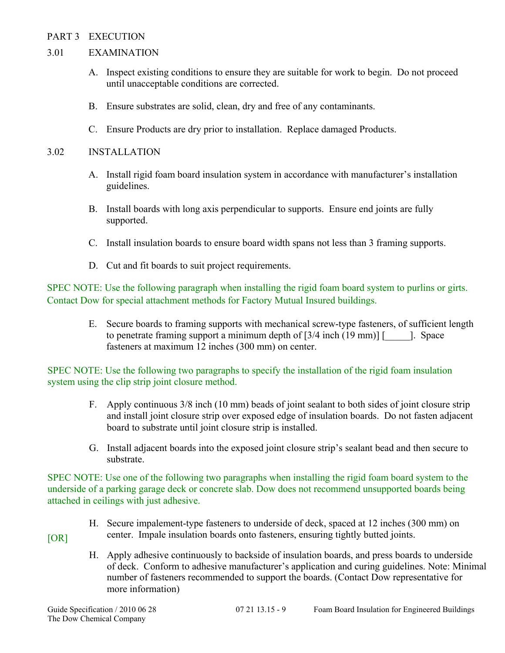### PART 3 EXECUTION

## 3.01 EXAMINATION

- A. Inspect existing conditions to ensure they are suitable for work to begin. Do not proceed until unacceptable conditions are corrected.
- B. Ensure substrates are solid, clean, dry and free of any contaminants.
- C. Ensure Products are dry prior to installation. Replace damaged Products.

### 3.02 INSTALLATION

- A. Install rigid foam board insulation system in accordance with manufacturer's installation guidelines.
- B. Install boards with long axis perpendicular to supports. Ensure end joints are fully supported.
- C. Install insulation boards to ensure board width spans not less than 3 framing supports.
- D. Cut and fit boards to suit project requirements.

SPEC NOTE: Use the following paragraph when installing the rigid foam board system to purlins or girts. Contact Dow for special attachment methods for Factory Mutual Insured buildings.

E. Secure boards to framing supports with mechanical screw-type fasteners, of sufficient length to penetrate framing support a minimum depth of  $[3/4$  inch  $(19 \text{ mm})$ ] [\_\_\_\_\_\_]. Space fasteners at maximum 12 inches (300 mm) on center.

SPEC NOTE: Use the following two paragraphs to specify the installation of the rigid foam insulation system using the clip strip joint closure method.

- F. Apply continuous 3/8 inch (10 mm) beads of joint sealant to both sides of joint closure strip and install joint closure strip over exposed edge of insulation boards. Do not fasten adjacent board to substrate until joint closure strip is installed.
- G. Install adjacent boards into the exposed joint closure strip's sealant bead and then secure to substrate.

SPEC NOTE: Use one of the following two paragraphs when installing the rigid foam board system to the underside of a parking garage deck or concrete slab. Dow does not recommend unsupported boards being attached in ceilings with just adhesive.

- H. Secure impalement-type fasteners to underside of deck, spaced at 12 inches (300 mm) on center. Impale insulation boards onto fasteners, ensuring tightly butted joints.
- H. Apply adhesive continuously to backside of insulation boards, and press boards to underside of deck. Conform to adhesive manufacturer's application and curing guidelines. Note: Minimal number of fasteners recommended to support the boards. (Contact Dow representative for more information)

[OR]